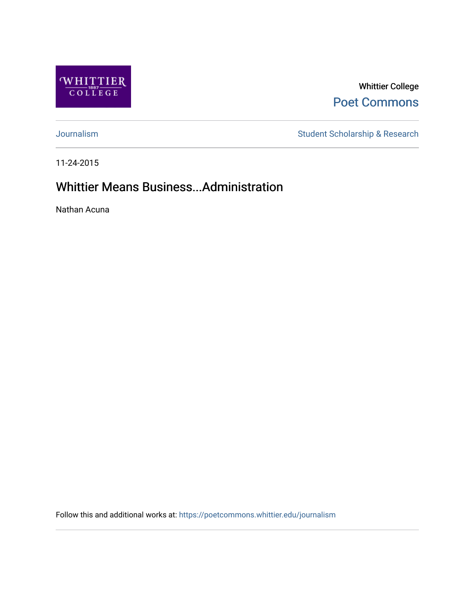

Whittier College [Poet Commons](https://poetcommons.whittier.edu/) 

[Journalism](https://poetcommons.whittier.edu/journalism) Student Scholarship & Research

11-24-2015

### Whittier Means Business...Administration

Nathan Acuna

Follow this and additional works at: [https://poetcommons.whittier.edu/journalism](https://poetcommons.whittier.edu/journalism?utm_source=poetcommons.whittier.edu%2Fjournalism%2F14&utm_medium=PDF&utm_campaign=PDFCoverPages)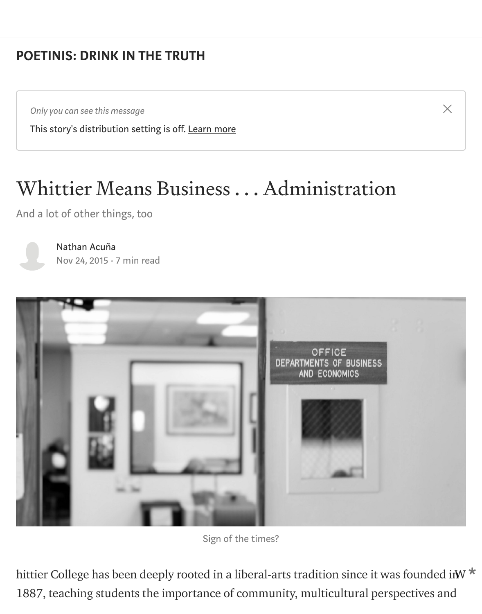## [POETINIS: DRINK IN THE TRUTH](https://medium.com/engl-201?source=post_page-----d758acd549de----------------------)

*Only you can see this message*

This story's distribution setting is off. [Learn more](https://help.medium.com/hc/en-us/articles/360018834334?source=post_page-----d758acd549de----------------------)

## Whittier Means Business . . . Administration

 $\times$ 

And a lot of other things, too



[Nathan Acuña](https://medium.com/@nacuna1?source=post_page-----d758acd549de----------------------) [Nov 24, 2015](https://medium.com/engl-201/whittier-college-means-business-administration-d758acd549de?source=post_page-----d758acd549de----------------------) · 7 min read



Sign of the times?

hittier College has been deeply rooted in a liberal-arts tradition since it was founded in W1887, teaching students the importance of community, multicultural perspectives and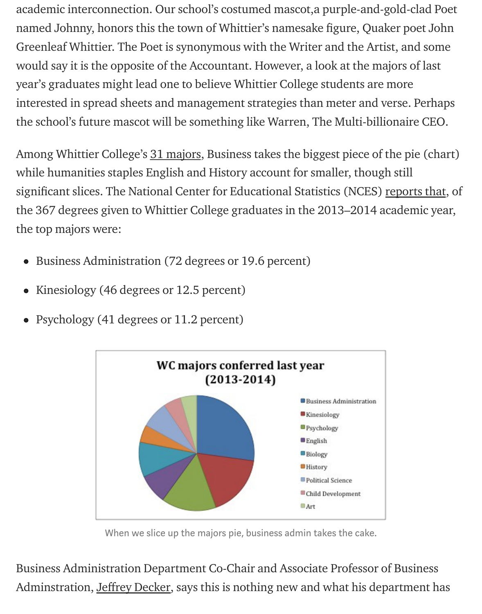academic interconnection. Our school's costumed mascot,a purple-and-gold-clad Poet named Johnny, honors this the town of Whittier's namesake figure, Quaker poet John Greenleaf Whittier. The Poet is synonymous with the Writer and the Artist, and some would say it is the opposite of the Accountant. However, a look at the majors of last year's graduates might lead one to believe Whittier College students are more interested in spread sheets and management strategies than meter and verse. Perhaps the school's future mascot will be something like Warren, The Multi-billionaire CEO.

Among Whittier College's [31 majors](http://www.whittier.edu/academics/majors), Business takes the biggest piece of the pie (chart) while humanities staples English and History account for smaller, though still significant slices. The National Center for Educational Statistics (NCES) [reports that](http://nces.ed.gov/collegenavigator/?id=125763#programs), of the 367 degrees given to Whittier College graduates in the 2013–2014 academic year, the top majors were:

- Business Administration (72 degrees or 19.6 percent)
- Kinesiology (46 degrees or 12.5 percent)
- Psychology (41 degrees or 11.2 percent)



When we slice up the majors pie, business admin takes the cake.

Business Administration Department Co-Chair and Associate Professor of Business Adminstration, Jeffrey Decker, says this is nothing new and what his department has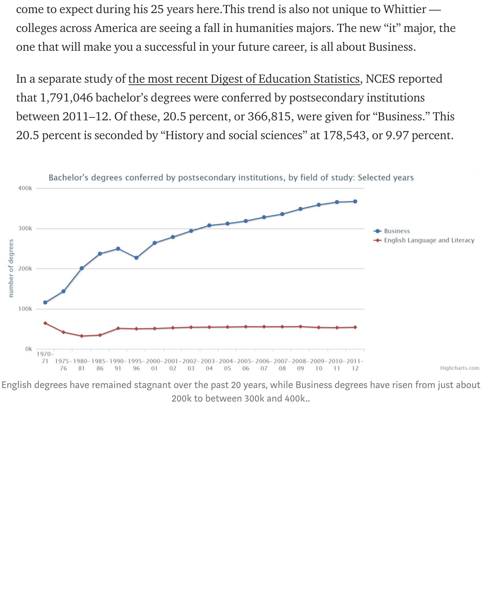come to expect during his 25 years here.This trend is also not unique to Whittier colleges across America are seeing a fall in humanities majors. The new "it" major, the one that will make you a successful in your future career, is all about Business.

In a separate study of [the most recent Digest of Education Statistics,](http://nces.ed.gov/programs/digest/d13/tables/dt13_322.10.asp) NCES reported that 1,791,046 bachelor's degrees were conferred by postsecondary institutions between 2011–12. Of these, 20.5 percent, or 366,815, were given for "Business." This 20.5 percent is seconded by "History and social sciences" at 178,543, or 9.97 percent.



English degrees have remained stagnant over the past 20 years, while Business degrees have risen from just about 200k to between 300k and 400k..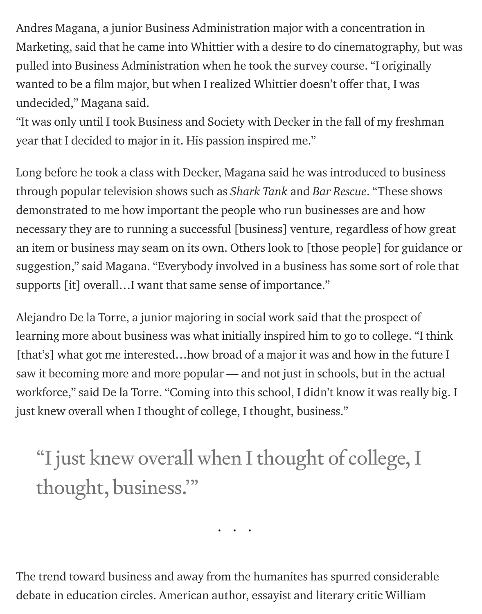Andres Magana, a junior Business Administration major with a concentration in Marketing, said that he came into Whittier with a desire to do cinematography, but was pulled into Business Administration when he took the survey course. "I originally wanted to be a film major, but when I realized Whittier doesn't offer that, I was undecided," Magana said.

"It was only until I took Business and Society with Decker in the fall of my freshman year that I decided to major in it. His passion inspired me."

Long before he took a class with Decker, Magana said he was introduced to business through popular television shows such as *Shark Tank* and *Bar Rescue*. "These shows demonstrated to me how important the people who run businesses are and how necessary they are to running a successful [business] venture, regardless of how great an item or business may seam on its own. Others look to [those people] for guidance or suggestion," said Magana. "Everybody involved in a business has some sort of role that supports [it] overall…I want that same sense of importance."

Alejandro De la Torre, a junior majoring in social work said that the prospect of learning more about business was what initially inspired him to go to college. "I think [that's] what got me interested…how broad of a major it was and how in the future I saw it becoming more and more popular — and not just in schools, but in the actual workforce," said De la Torre. "Coming into this school, I didn't know it was really big. I just knew overall when I thought of college, I thought, business."

# "I just knew overall when I thought of college, I thought, business.'"

...

The trend toward business and away from the humanites has spurred considerable debate in education circles. American author, essayist and literary critic William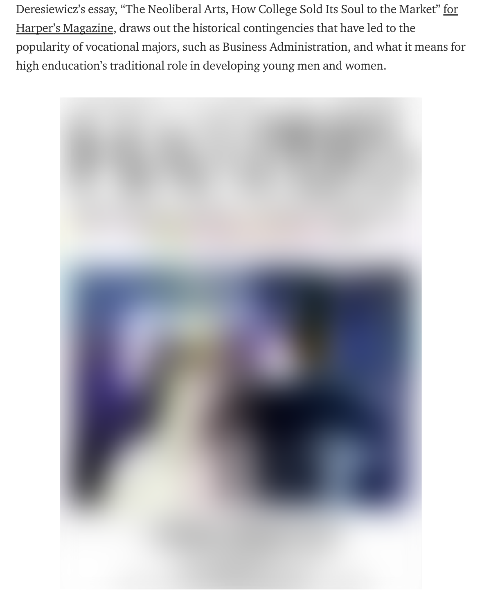[Deresiewicz's essay, "The Neoliberal Arts, How College Sold Its Soul to the Market" for](http://harpers.org/archive/2015/09/the-neoliberal-arts/1/) Harper's Magazine, draws out the historical contingencies that have led to the popularity of vocational majors, such as Business Administration, and what it means for high enducation's traditional role in developing young men and women.

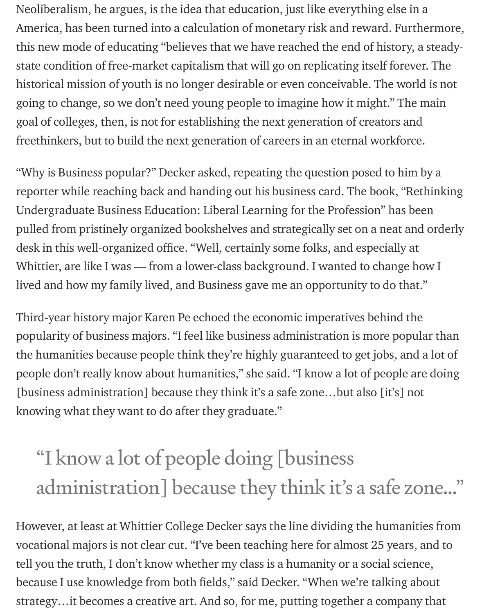Neoliberalism, he argues, is the idea that education, just like everything else in a America, has been turned into a calculation of monetary risk and reward. Furthermore, this new mode of educating "believes that we have reached the end of history, a steadystate condition of free-market capitalism that will go on replicating itself forever. The historical mission of youth is no longer desirable or even conceivable. The world is not going to change, so we don't need young people to imagine how it might." The main goal of colleges, then, is not for establishing the next generation of creators and freethinkers, but to build the next generation of careers in an eternal workforce.

"Why is Business popular?" Decker asked, repeating the question posed to him by a reporter while reaching back and handing out his business card. The book, "Rethinking Undergraduate Business Education: Liberal Learning for the Profession" has been pulled from pristinely organized bookshelves and strategically set on a neat and orderly desk in this well-organized office. "Well, certainly some folks, and especially at Whittier, are like I was — from a lower-class background. I wanted to change how I lived and how my family lived, and Business gave me an opportunity to do that."

Third-year history major Karen Pe echoed the economic imperatives behind the popularity of business majors. "I feel like business administration is more popular than the humanities because people think they're highly guaranteed to get jobs, and a lot of people don't really know about humanities," she said. "I know a lot of people are doing [business administration] because they think it's a safe zone…but also [it's] not knowing what they want to do after they graduate."

# "I know a lot of people doing [business administration] because they think it's a safe zone…"

However, at least at Whittier College Decker says the line dividing the humanities from vocational majors is not clear cut. "I've been teaching here for almost 25 years, and to tell you the truth, I don't know whether my class is a humanity or a social science, because I use knowledge from both fields," said Decker. "When we're talking about strategy…it becomes a creative art. And so, for me, putting together a company that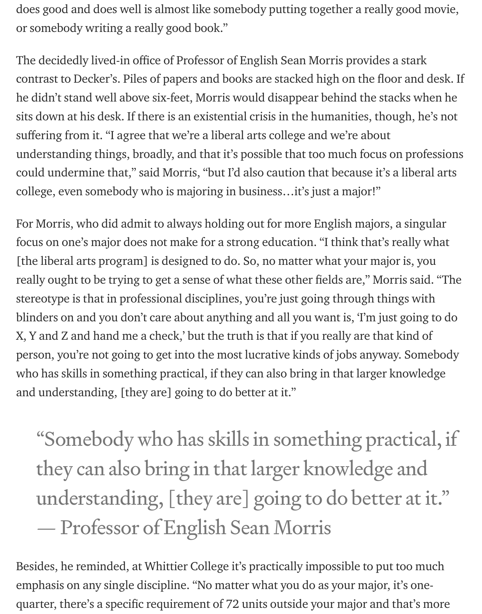does good and does well is almost like somebody putting together a really good movie, or somebody writing a really good book."

The decidedly lived-in office of Professor of English Sean Morris provides a stark contrast to Decker's. Piles of papers and books are stacked high on the floor and desk. If he didn't stand well above six-feet, Morris would disappear behind the stacks when he sits down at his desk. If there is an existential crisis in the humanities, though, he's not suffering from it. "I agree that we're a liberal arts college and we're about understanding things, broadly, and that it's possible that too much focus on professions could undermine that," said Morris, "but I'd also caution that because it's a liberal arts college, even somebody who is majoring in business…it's just a major!"

For Morris, who did admit to always holding out for more English majors, a singular focus on one's major does not make for a strong education. "I think that's really what [the liberal arts program] is designed to do. So, no matter what your major is, you really ought to be trying to get a sense of what these other fields are," Morris said. "The stereotype is that in professional disciplines, you're just going through things with blinders on and you don't care about anything and all you want is, 'I'm just going to do X, Y and Z and hand me a check,' but the truth is that if you really are that kind of person, you're not going to get into the most lucrative kinds of jobs anyway. Somebody who has skills in something practical, if they can also bring in that larger knowledge and understanding, [they are] going to do better at it."

"Somebody who has skills in something practical, if they can also bring in that larger knowledge and understanding, [they are] going to do better at it." — Professor of English Sean Morris

Besides, he reminded, at Whittier College it's practically impossible to put too much emphasis on any single discipline. "No matter what you do as your major, it's onequarter, there's a specific requirement of 72 units outside your major and that's more